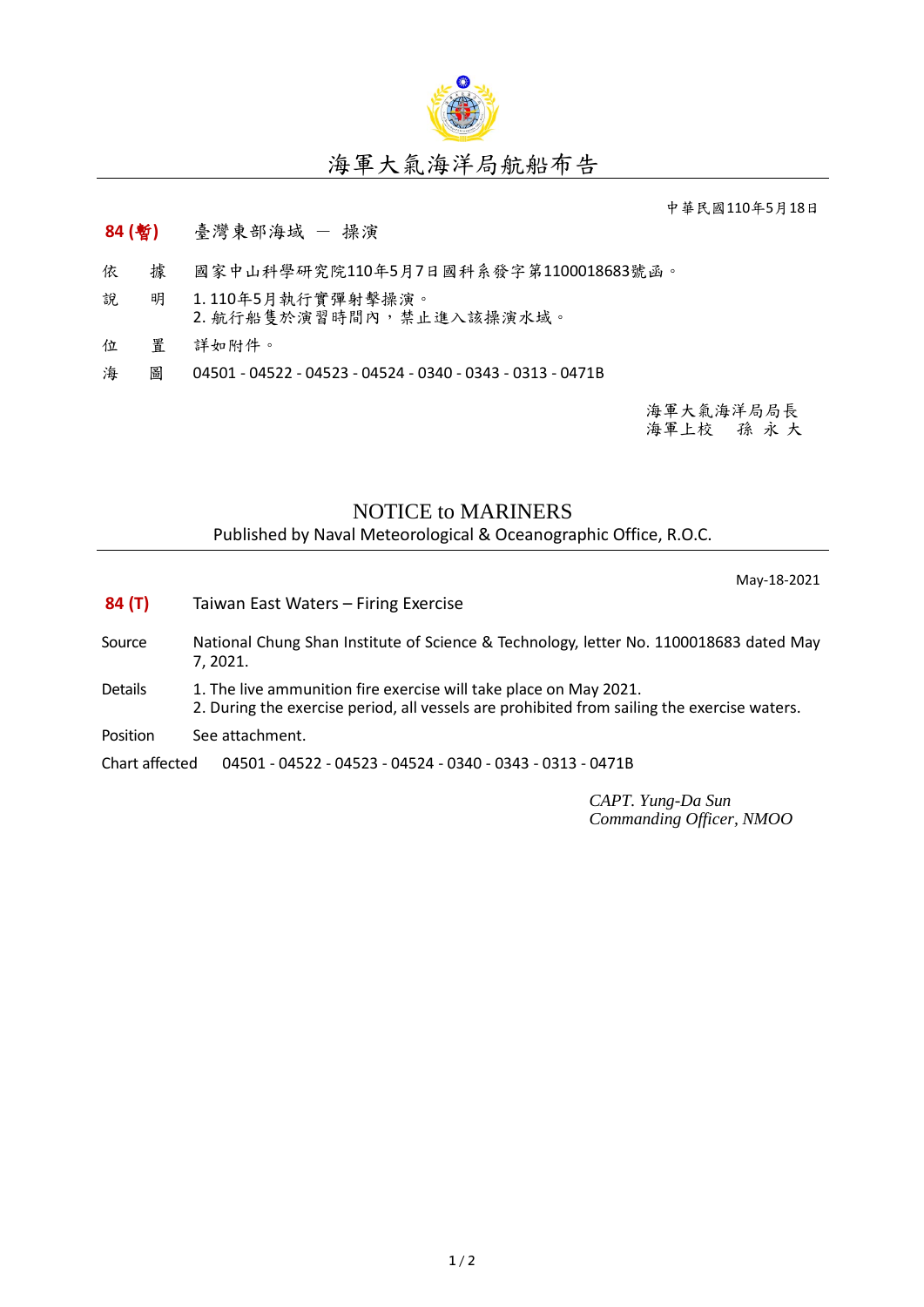

## 海軍大氣海洋局航船布告

中華民國110年5月18日

## **84 (**暫**)** 臺灣東部海域 - 操演

- 依 據 國家中山科學研究院110年5月7日國科系發字第1100018683號函。
- 說 明 1. 110年5月執行實彈射擊操演。 2. 航行船隻於演習時間內,禁止進入該操演水域。
- 位 置 詳如附件。
- 海 圖 04501 04522 04523 04524 0340 0343 0313 0471B

海軍大氣海洋局局長 海軍上校 孫 永 大

## NOTICE to MARINERS

Published by Naval Meteorological & Oceanographic Office, R.O.C.

May-18-2021

- **84 (T)** Taiwan East Waters Firing Exercise
- Source National Chung Shan Institute of Science & Technology, letter No. 1100018683 dated May 7, 2021.
- Details 1. The live ammunition fire exercise will take place on May 2021. 2. During the exercise period, all vessels are prohibited from sailing the exercise waters.
- Position See attachment.

Chart affected 04501 - 04522 - 04523 - 04524 - 0340 - 0343 - 0313 - 0471B

*CAPT. Yung-Da Sun Commanding Officer, NMOO*